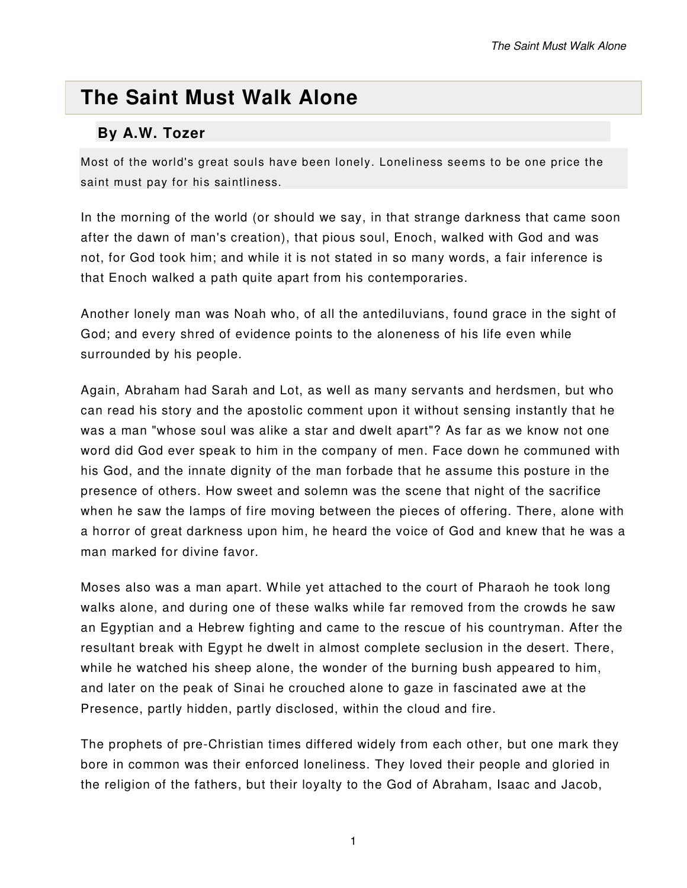## **The Saint Must Walk Alone**

## **By A.W. Tozer**

Most of the world's great souls have been lonely. Loneliness seems to be one price the saint must pay for his saintliness.

In the morning of the world (or should we say, in that strange darkness that came soon after the dawn of man's creation), that pious soul, Enoch, walked with God and was not, for God took him; and while it is not stated in so many words, a fair inference is that Enoch walked a path quite apart from his contemporaries.

Another lonely man was Noah who, of all the antediluvians, found grace in the sight of God; and every shred of evidence points to the aloneness of his life even while surrounded by his people.

Again, Abraham had Sarah and Lot, as well as many servants and herdsmen, but who can read his story and the apostolic comment upon it without sensing instantly that he was a man "whose soul was alike a star and dwelt apart"? As far as we know not one word did God ever speak to him in the company of men. Face down he communed with his God, and the innate dignity of the man forbade that he assume this posture in the presence of others. How sweet and solemn was the scene that night of the sacrifice when he saw the lamps of fire moving between the pieces of offering. There, alone with a horror of great darkness upon him, he heard the voice of God and knew that he was a man marked for divine favor.

Moses also was a man apart. While yet attached to the court of Pharaoh he took long walks alone, and during one of these walks while far removed from the crowds he saw an Egyptian and a Hebrew fighting and came to the rescue of his countryman. After the resultant break with Egypt he dwelt in almost complete seclusion in the desert. There, while he watched his sheep alone, the wonder of the burning bush appeared to him, and later on the peak of Sinai he crouched alone to gaze in fascinated awe at the Presence, partly hidden, partly disclosed, within the cloud and fire.

The prophets of pre-Christian times differed widely from each other, but one mark they bore in common was their enforced loneliness. They loved their people and gloried in the religion of the fathers, but their loyalty to the God of Abraham, Isaac and Jacob,

1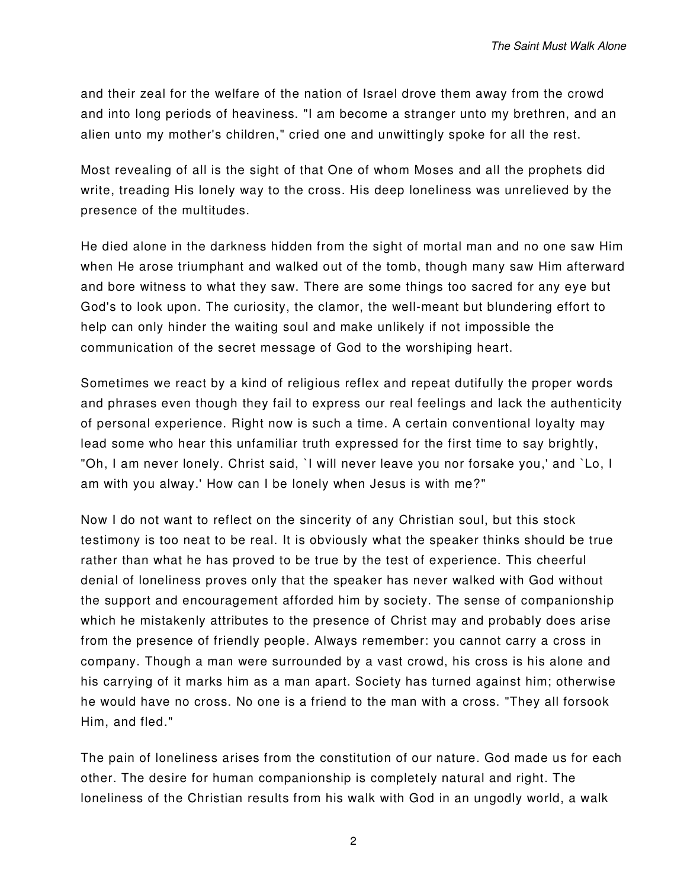and their zeal for the welfare of the nation of Israel drove them away from the crowd and into long periods of heaviness. "I am become a stranger unto my brethren, and an alien unto my mother's children," cried one and unwittingly spoke for all the rest.

Most revealing of all is the sight of that One of whom Moses and all the prophets did write, treading His lonely way to the cross. His deep loneliness was unrelieved by the presence of the multitudes.

He died alone in the darkness hidden from the sight of mortal man and no one saw Him when He arose triumphant and walked out of the tomb, though many saw Him afterward and bore witness to what they saw. There are some things too sacred for any eye but God's to look upon. The curiosity, the clamor, the well-meant but blundering effort to help can only hinder the waiting soul and make unlikely if not impossible the communication of the secret message of God to the worshiping heart.

Sometimes we react by a kind of religious reflex and repeat dutifully the proper words and phrases even though they fail to express our real feelings and lack the authenticity of personal experience. Right now is such a time. A certain conventional loyalty may lead some who hear this unfamiliar truth expressed for the first time to say brightly, "Oh, I am never lonely. Christ said, `I will never leave you nor forsake you,' and `Lo, I am with you alway.' How can I be lonely when Jesus is with me?"

Now I do not want to reflect on the sincerity of any Christian soul, but this stock testimony is too neat to be real. It is obviously what the speaker thinks should be true rather than what he has proved to be true by the test of experience. This cheerful denial of loneliness proves only that the speaker has never walked with God without the support and encouragement afforded him by society. The sense of companionship which he mistakenly attributes to the presence of Christ may and probably does arise from the presence of friendly people. Always remember: you cannot carry a cross in company. Though a man were surrounded by a vast crowd, his cross is his alone and his carrying of it marks him as a man apart. Society has turned against him; otherwise he would have no cross. No one is a friend to the man with a cross. "They all forsook Him, and fled."

The pain of loneliness arises from the constitution of our nature. God made us for each other. The desire for human companionship is completely natural and right. The loneliness of the Christian results from his walk with God in an ungodly world, a walk

2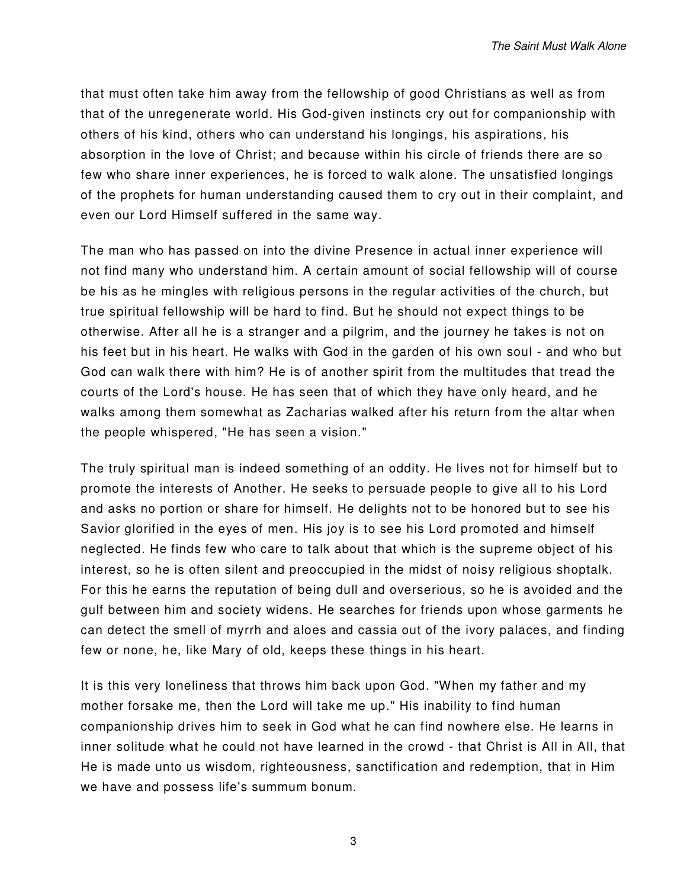that must often take him away from the fellowship of good Christians as well as from that of the unregenerate world. His God-given instincts cry out for companionship with others of his kind, others who can understand his longings, his aspirations, his absorption in the love of Christ; and because within his circle of friends there are so few who share inner experiences, he is forced to walk alone. The unsatisfied longings of the prophets for human understanding caused them to cry out in their complaint, and even our Lord Himself suffered in the same way.

The man who has passed on into the divine Presence in actual inner experience will not find many who understand him. A certain amount of social fellowship will of course be his as he mingles with religious persons in the regular activities of the church, but true spiritual fellowship will be hard to find. But he should not expect things to be otherwise. After all he is a stranger and a pilgrim, and the journey he takes is not on his feet but in his heart. He walks with God in the garden of his own soul - and who but God can walk there with him? He is of another spirit from the multitudes that tread the courts of the Lord's house. He has seen that of which they have only heard, and he walks among them somewhat as Zacharias walked after his return from the altar when the people whispered, "He has seen a vision."

The truly spiritual man is indeed something of an oddity. He lives not for himself but to promote the interests of Another. He seeks to persuade people to give all to his Lord and asks no portion or share for himself. He delights not to be honored but to see his Savior glorified in the eyes of men. His joy is to see his Lord promoted and himself neglected. He finds few who care to talk about that which is the supreme object of his interest, so he is often silent and preoccupied in the midst of noisy religious shoptalk. For this he earns the reputation of being dull and overserious, so he is avoided and the gulf between him and society widens. He searches for friends upon whose garments he can detect the smell of myrrh and aloes and cassia out of the ivory palaces, and finding few or none, he, like Mary of old, keeps these things in his heart.

It is this very loneliness that throws him back upon God. "When my father and my mother forsake me, then the Lord will take me up." His inability to find human companionship drives him to seek in God what he can find nowhere else. He learns in inner solitude what he could not have learned in the crowd - that Christ is All in All, that He is made unto us wisdom, righteousness, sanctification and redemption, that in Him we have and possess life's summum bonum.